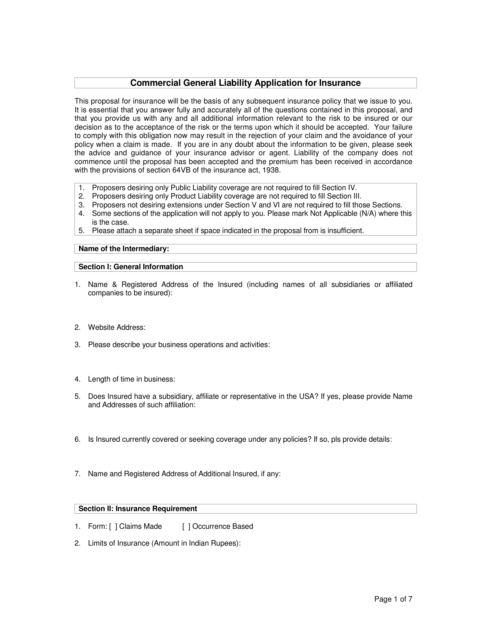# **Commercial General Liability Application for Insurance**

This proposal for insurance will be the basis of any subsequent insurance policy that we issue to you. It is essential that you answer fully and accurately all of the questions contained in this proposal, and that you provide us with any and all additional information relevant to the risk to be insured or our decision as to the acceptance of the risk or the terms upon which it should be accepted. Your failure to comply with this obligation now may result in the rejection of your claim and the avoidance of your policy when a claim is made. If you are in any doubt about the information to be given, please seek the advice and guidance of your insurance advisor or agent. Liability of the company does not commence until the proposal has been accepted and the premium has been received in accordance with the provisions of section 64VB of the insurance act, 1938.

- 1. Proposers desiring only Public Liability coverage are not required to fill Section IV.
- 2. Proposers desiring only Product Liability coverage are not required to fill Section III.
- 3. Proposers not desiring extensions under Section V and VI are not required to fill those Sections.
- 4. Some sections of the application will not apply to you. Please mark Not Applicable (N/A) where this is the case.
- 5. Please attach a separate sheet if space indicated in the proposal from is insufficient.

## **Name of the Intermediary:**

#### **Section I: General Information**

- 1. Name & Registered Address of the Insured (including names of all subsidiaries or affiliated companies to be insured):
- 2. Website Address:
- 3. Please describe your business operations and activities:
- 4. Length of time in business:
- 5. Does Insured have a subsidiary, affiliate or representative in the USA? If yes, please provide Name and Addresses of such affiliation:
- 6. Is Insured currently covered or seeking coverage under any policies? If so, pls provide details:
- 7. Name and Registered Address of Additional Insured, if any:

#### **Section II: Insurance Requirement**

- 1. Form: [ ] Claims Made [ ] Occurrence Based
- 2. Limits of Insurance (Amount in Indian Rupees):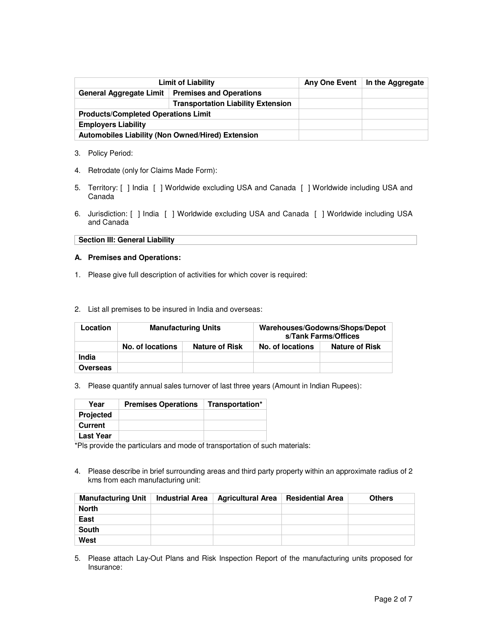| <b>Limit of Liability</b>                         |  | Any One Event   In the Aggregate |
|---------------------------------------------------|--|----------------------------------|
| <b>General Aggregate Limit</b>                    |  |                                  |
|                                                   |  |                                  |
| <b>Products/Completed Operations Limit</b>        |  |                                  |
| <b>Employers Liability</b>                        |  |                                  |
| Automobiles Liability (Non Owned/Hired) Extension |  |                                  |

- 3. Policy Period:
- 4. Retrodate (only for Claims Made Form):
- 5. Territory: [ ] India [ ] Worldwide excluding USA and Canada [ ] Worldwide including USA and Canada
- 6. Jurisdiction: [ ] India [ ] Worldwide excluding USA and Canada [ ] Worldwide including USA and Canada

**Section III: General Liability**

#### **A. Premises and Operations:**

- 1. Please give full description of activities for which cover is required:
- 2. List all premises to be insured in India and overseas:

| Location |                  | <b>Manufacturing Units</b> | Warehouses/Godowns/Shops/Depot<br>s/Tank Farms/Offices |                       |  |
|----------|------------------|----------------------------|--------------------------------------------------------|-----------------------|--|
|          | No. of locations | <b>Nature of Risk</b>      | No. of locations                                       | <b>Nature of Risk</b> |  |
| India    |                  |                            |                                                        |                       |  |
| Overseas |                  |                            |                                                        |                       |  |

3. Please quantify annual sales turnover of last three years (Amount in Indian Rupees):

| Year             | <b>Premises Operations</b> | Transportation* |
|------------------|----------------------------|-----------------|
| <b>Projected</b> |                            |                 |
| Current          |                            |                 |
| <b>Last Year</b> |                            |                 |

\*Pls provide the particulars and mode of transportation of such materials:

4. Please describe in brief surrounding areas and third party property within an approximate radius of 2 kms from each manufacturing unit:

| <b>Manufacturing Unit</b> | <b>Industrial Area</b> | <b>Agricultural Area</b> | <b>Residential Area</b> | <b>Others</b> |
|---------------------------|------------------------|--------------------------|-------------------------|---------------|
| <b>North</b>              |                        |                          |                         |               |
| East                      |                        |                          |                         |               |
| <b>South</b>              |                        |                          |                         |               |
| West                      |                        |                          |                         |               |

5. Please attach Lay-Out Plans and Risk Inspection Report of the manufacturing units proposed for Insurance: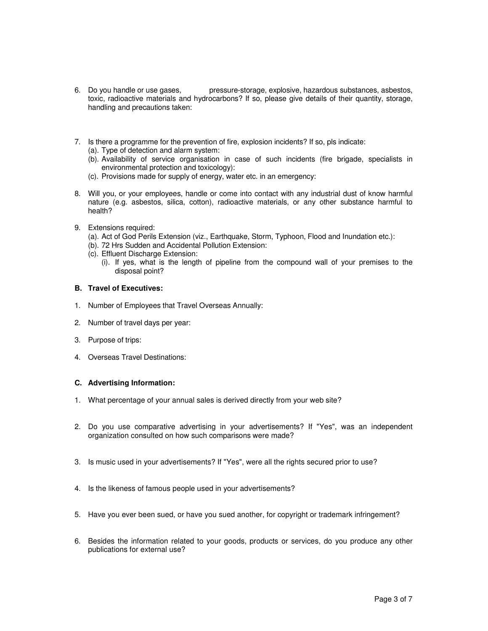- 6. Do you handle or use gases, pressure-storage, explosive, hazardous substances, asbestos, toxic, radioactive materials and hydrocarbons? If so, please give details of their quantity, storage, handling and precautions taken:
- 7. Is there a programme for the prevention of fire, explosion incidents? If so, pls indicate: (a). Type of detection and alarm system:
	- (b). Availability of service organisation in case of such incidents (fire brigade, specialists in environmental protection and toxicology):
	- (c). Provisions made for supply of energy, water etc. in an emergency:
- 8. Will you, or your employees, handle or come into contact with any industrial dust of know harmful nature (e.g. asbestos, silica, cotton), radioactive materials, or any other substance harmful to health?
- 9. Extensions required:
	- (a). Act of God Perils Extension (viz., Earthquake, Storm, Typhoon, Flood and Inundation etc.):
	- (b). 72 Hrs Sudden and Accidental Pollution Extension:
	- (c). Effluent Discharge Extension:
		- (i). If yes, what is the length of pipeline from the compound wall of your premises to the disposal point?

#### **B. Travel of Executives:**

- 1. Number of Employees that Travel Overseas Annually:
- 2. Number of travel days per year:
- 3. Purpose of trips:
- 4. Overseas Travel Destinations:

## **C. Advertising Information:**

- 1. What percentage of your annual sales is derived directly from your web site?
- 2. Do you use comparative advertising in your advertisements? If "Yes", was an independent organization consulted on how such comparisons were made?
- 3. Is music used in your advertisements? If "Yes", were all the rights secured prior to use?
- 4. Is the likeness of famous people used in your advertisements?
- 5. Have you ever been sued, or have you sued another, for copyright or trademark infringement?
- 6. Besides the information related to your goods, products or services, do you produce any other publications for external use?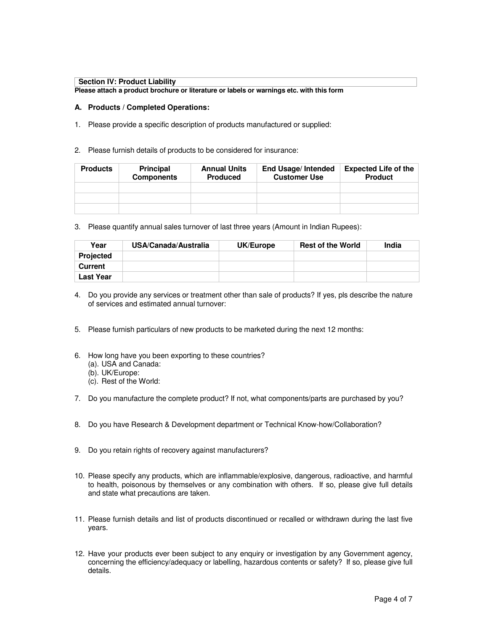#### **Section IV: Product Liability**

**Please attach a product brochure or literature or labels or warnings etc. with this form**

#### **A. Products / Completed Operations:**

- 1. Please provide a specific description of products manufactured or supplied:
- 2. Please furnish details of products to be considered for insurance:

| <b>Products</b> | <b>Principal</b><br><b>Components</b> | <b>Annual Units</b><br><b>Produced</b> | <b>End Usage/Intended</b><br><b>Customer Use</b> | <b>Expected Life of the</b><br><b>Product</b> |
|-----------------|---------------------------------------|----------------------------------------|--------------------------------------------------|-----------------------------------------------|
|                 |                                       |                                        |                                                  |                                               |
|                 |                                       |                                        |                                                  |                                               |
|                 |                                       |                                        |                                                  |                                               |

3. Please quantify annual sales turnover of last three years (Amount in Indian Rupees):

| Year             | USA/Canada/Australia | UK/Europe | <b>Rest of the World</b> | India |
|------------------|----------------------|-----------|--------------------------|-------|
| <b>Projected</b> |                      |           |                          |       |
| <b>Current</b>   |                      |           |                          |       |
| <b>Last Year</b> |                      |           |                          |       |

- 4. Do you provide any services or treatment other than sale of products? If yes, pls describe the nature of services and estimated annual turnover:
- 5. Please furnish particulars of new products to be marketed during the next 12 months:
- 6. How long have you been exporting to these countries?
	- (a). USA and Canada:
	- (b). UK/Europe:
	- (c). Rest of the World:
- 7. Do you manufacture the complete product? If not, what components/parts are purchased by you?
- 8. Do you have Research & Development department or Technical Know-how/Collaboration?
- 9. Do you retain rights of recovery against manufacturers?
- 10. Please specify any products, which are inflammable/explosive, dangerous, radioactive, and harmful to health, poisonous by themselves or any combination with others. If so, please give full details and state what precautions are taken.
- 11. Please furnish details and list of products discontinued or recalled or withdrawn during the last five years.
- 12. Have your products ever been subject to any enquiry or investigation by any Government agency, concerning the efficiency/adequacy or labelling, hazardous contents or safety? If so, please give full details.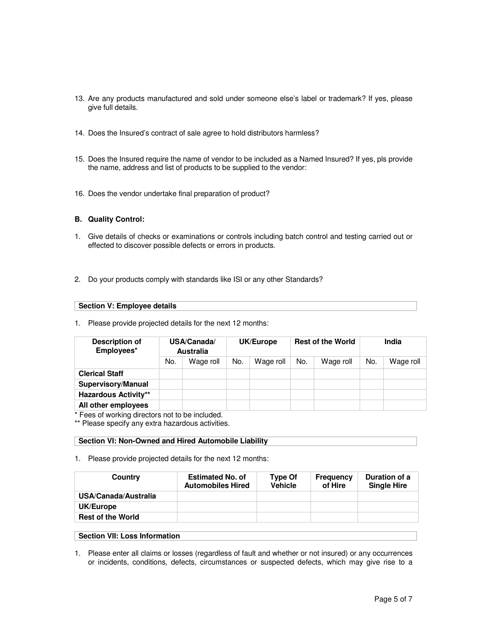- 13. Are any products manufactured and sold under someone else's label or trademark? If yes, please give full details.
- 14. Does the Insured's contract of sale agree to hold distributors harmless?
- 15. Does the Insured require the name of vendor to be included as a Named Insured? If yes, pls provide the name, address and list of products to be supplied to the vendor:
- 16. Does the vendor undertake final preparation of product?

#### **B. Quality Control:**

- 1. Give details of checks or examinations or controls including batch control and testing carried out or effected to discover possible defects or errors in products.
- 2. Do your products comply with standards like ISI or any other Standards?

| Section V: Employee details |  |  |  |  |
|-----------------------------|--|--|--|--|
|-----------------------------|--|--|--|--|

1. Please provide projected details for the next 12 months:

| Description of<br>Employees* | USA/Canada/<br><b>Australia</b> |           | <b>Rest of the World</b><br>UK/Europe |           |     |           |     |           |  | India |
|------------------------------|---------------------------------|-----------|---------------------------------------|-----------|-----|-----------|-----|-----------|--|-------|
|                              | No.                             | Wage roll | No.                                   | Wage roll | No. | Wage roll | No. | Wage roll |  |       |
| <b>Clerical Staff</b>        |                                 |           |                                       |           |     |           |     |           |  |       |
| <b>Supervisory/Manual</b>    |                                 |           |                                       |           |     |           |     |           |  |       |
| <b>Hazardous Activity**</b>  |                                 |           |                                       |           |     |           |     |           |  |       |
| All other employees          |                                 |           |                                       |           |     |           |     |           |  |       |

\* Fees of working directors not to be included.

\*\* Please specify any extra hazardous activities.

## **Section VI: Non-Owned and Hired Automobile Liability**

1. Please provide projected details for the next 12 months:

| <b>Estimated No. of</b><br><b>Automobiles Hired</b> | Type Of<br><b>Vehicle</b> | <b>Frequency</b><br>of Hire | Duration of a<br><b>Single Hire</b> |
|-----------------------------------------------------|---------------------------|-----------------------------|-------------------------------------|
|                                                     |                           |                             |                                     |
|                                                     |                           |                             |                                     |
|                                                     |                           |                             |                                     |
|                                                     |                           |                             |                                     |

#### **Section VII: Loss Information**

1. Please enter all claims or losses (regardless of fault and whether or not insured) or any occurrences or incidents, conditions, defects, circumstances or suspected defects, which may give rise to a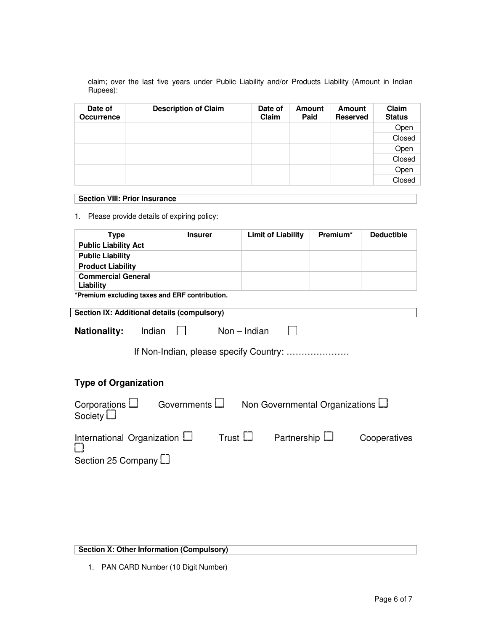claim; over the last five years under Public Liability and/or Products Liability (Amount in Indian Rupees):

| Date of<br><b>Occurrence</b> | <b>Description of Claim</b> | Date of<br>Claim | <b>Amount</b><br>Paid | <b>Amount</b><br><b>Reserved</b> | Claim<br><b>Status</b> |
|------------------------------|-----------------------------|------------------|-----------------------|----------------------------------|------------------------|
|                              |                             |                  |                       |                                  | Open                   |
|                              |                             |                  |                       |                                  | Closed                 |
|                              |                             |                  |                       |                                  | Open                   |
|                              |                             |                  |                       |                                  | Closed                 |
|                              |                             |                  |                       |                                  | Open                   |
|                              |                             |                  |                       |                                  | Closed                 |

#### **Section VIII: Prior Insurance**

1. Please provide details of expiring policy:

| <b>Type</b>                                                                                        | <b>Insurer</b>  | <b>Limit of Liability</b> | Premium* | <b>Deductible</b> |  |
|----------------------------------------------------------------------------------------------------|-----------------|---------------------------|----------|-------------------|--|
| <b>Public Liability Act</b>                                                                        |                 |                           |          |                   |  |
| <b>Public Liability</b>                                                                            |                 |                           |          |                   |  |
| <b>Product Liability</b>                                                                           |                 |                           |          |                   |  |
| <b>Commercial General</b><br>Liability                                                             |                 |                           |          |                   |  |
| *Premium excluding taxes and ERF contribution.                                                     |                 |                           |          |                   |  |
| Section IX: Additional details (compulsory)                                                        |                 |                           |          |                   |  |
| $Non - Indian$<br><b>Nationality:</b><br>Indian<br>If Non-Indian, please specify Country:          |                 |                           |          |                   |  |
| <b>Type of Organization</b>                                                                        |                 |                           |          |                   |  |
| Governments $\Box$<br>Corporations $\Box$<br>Non Governmental Organizations L<br>Society $\square$ |                 |                           |          |                   |  |
| International Organization L<br>Section 25 Company L                                               | Trust $\square$ | Partnership L             |          | Cooperatives      |  |

**Section X: Other Information (Compulsory)**

1. PAN CARD Number (10 Digit Number)